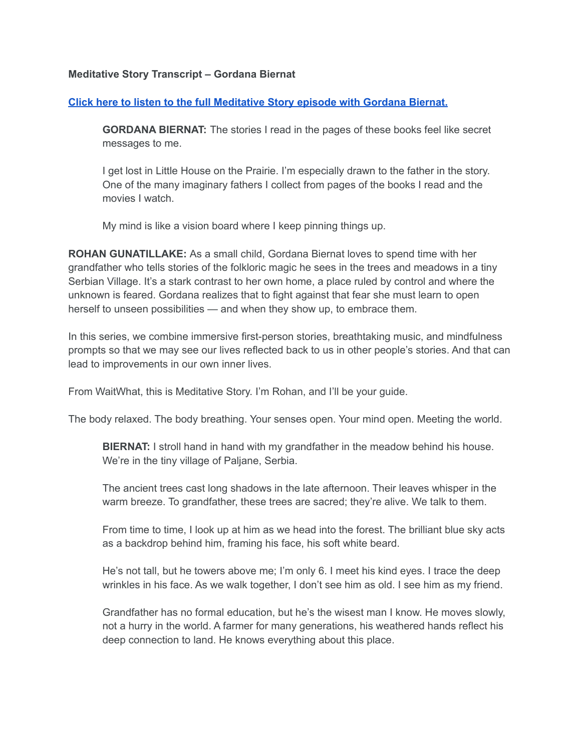## **Meditative Story Transcript – Gordana Biernat**

## **Click here to listen to the full [Meditative](https://listen.meditativestory.com/GordanaBiernatPDF) Story episode with Gordana Biernat.**

**GORDANA BIERNAT:** The stories I read in the pages of these books feel like secret messages to me.

I get lost in Little House on the Prairie. I'm especially drawn to the father in the story. One of the many imaginary fathers I collect from pages of the books I read and the movies I watch.

My mind is like a vision board where I keep pinning things up.

**ROHAN GUNATILLAKE:** As a small child, Gordana Biernat loves to spend time with her grandfather who tells stories of the folkloric magic he sees in the trees and meadows in a tiny Serbian Village. It's a stark contrast to her own home, a place ruled by control and where the unknown is feared. Gordana realizes that to fight against that fear she must learn to open herself to unseen possibilities — and when they show up, to embrace them.

In this series, we combine immersive first-person stories, breathtaking music, and mindfulness prompts so that we may see our lives reflected back to us in other people's stories. And that can lead to improvements in our own inner lives.

From WaitWhat, this is Meditative Story. I'm Rohan, and I'll be your guide.

The body relaxed. The body breathing. Your senses open. Your mind open. Meeting the world.

**BIERNAT:** I stroll hand in hand with my grandfather in the meadow behind his house. We're in the tiny village of Paljane, Serbia.

The ancient trees cast long shadows in the late afternoon. Their leaves whisper in the warm breeze. To grandfather, these trees are sacred; they're alive. We talk to them.

From time to time, I look up at him as we head into the forest. The brilliant blue sky acts as a backdrop behind him, framing his face, his soft white beard.

He's not tall, but he towers above me; I'm only 6. I meet his kind eyes. I trace the deep wrinkles in his face. As we walk together, I don't see him as old. I see him as my friend.

Grandfather has no formal education, but he's the wisest man I know. He moves slowly, not a hurry in the world. A farmer for many generations, his weathered hands reflect his deep connection to land. He knows everything about this place.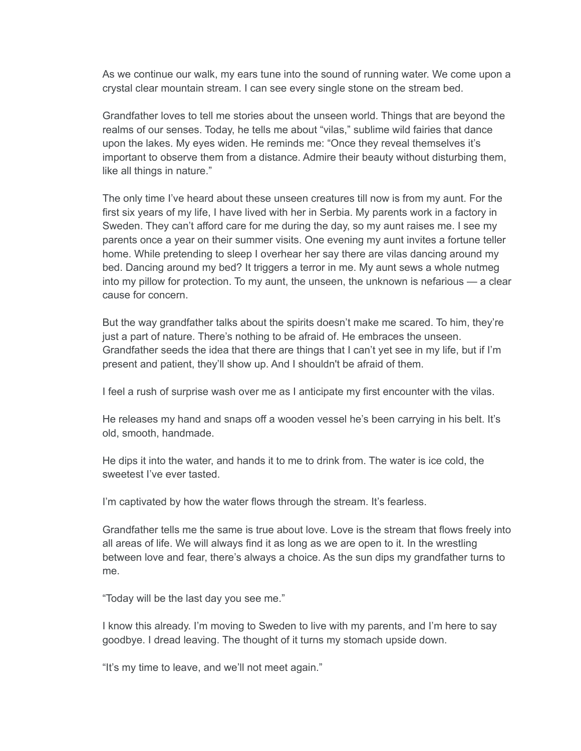As we continue our walk, my ears tune into the sound of running water. We come upon a crystal clear mountain stream. I can see every single stone on the stream bed.

Grandfather loves to tell me stories about the unseen world. Things that are beyond the realms of our senses. Today, he tells me about "vilas," sublime wild fairies that dance upon the lakes. My eyes widen. He reminds me: "Once they reveal themselves it's important to observe them from a distance. Admire their beauty without disturbing them, like all things in nature."

The only time I've heard about these unseen creatures till now is from my aunt. For the first six years of my life, I have lived with her in Serbia. My parents work in a factory in Sweden. They can't afford care for me during the day, so my aunt raises me. I see my parents once a year on their summer visits. One evening my aunt invites a fortune teller home. While pretending to sleep I overhear her say there are vilas dancing around my bed. Dancing around my bed? It triggers a terror in me. My aunt sews a whole nutmeg into my pillow for protection. To my aunt, the unseen, the unknown is nefarious — a clear cause for concern.

But the way grandfather talks about the spirits doesn't make me scared. To him, they're just a part of nature. There's nothing to be afraid of. He embraces the unseen. Grandfather seeds the idea that there are things that I can't yet see in my life, but if I'm present and patient, they'll show up. And I shouldn't be afraid of them.

I feel a rush of surprise wash over me as I anticipate my first encounter with the vilas.

He releases my hand and snaps off a wooden vessel he's been carrying in his belt. It's old, smooth, handmade.

He dips it into the water, and hands it to me to drink from. The water is ice cold, the sweetest I've ever tasted.

I'm captivated by how the water flows through the stream. It's fearless.

Grandfather tells me the same is true about love. Love is the stream that flows freely into all areas of life. We will always find it as long as we are open to it. In the wrestling between love and fear, there's always a choice. As the sun dips my grandfather turns to me.

"Today will be the last day you see me."

I know this already. I'm moving to Sweden to live with my parents, and I'm here to say goodbye. I dread leaving. The thought of it turns my stomach upside down.

"It's my time to leave, and we'll not meet again."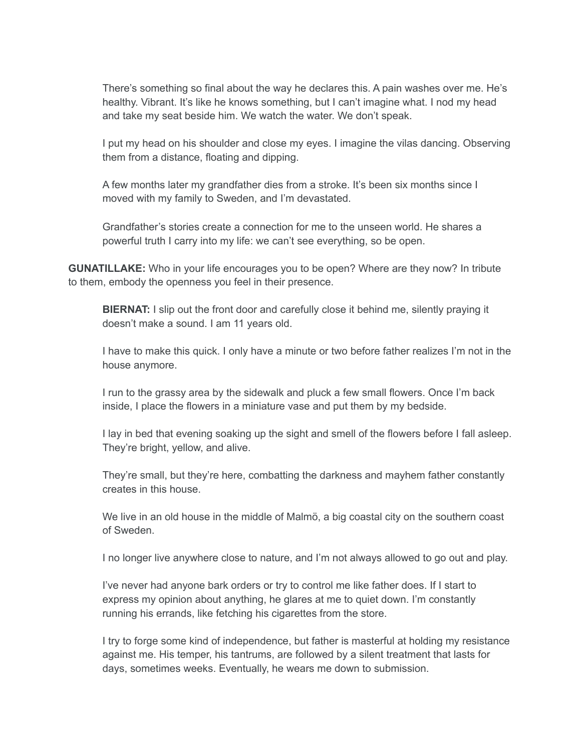There's something so final about the way he declares this. A pain washes over me. He's healthy. Vibrant. It's like he knows something, but I can't imagine what. I nod my head and take my seat beside him. We watch the water. We don't speak.

I put my head on his shoulder and close my eyes. I imagine the vilas dancing. Observing them from a distance, floating and dipping.

A few months later my grandfather dies from a stroke. It's been six months since I moved with my family to Sweden, and I'm devastated.

Grandfather's stories create a connection for me to the unseen world. He shares a powerful truth I carry into my life: we can't see everything, so be open.

**GUNATILLAKE:** Who in your life encourages you to be open? Where are they now? In tribute to them, embody the openness you feel in their presence.

**BIERNAT:** I slip out the front door and carefully close it behind me, silently praying it doesn't make a sound. I am 11 years old.

I have to make this quick. I only have a minute or two before father realizes I'm not in the house anymore.

I run to the grassy area by the sidewalk and pluck a few small flowers. Once I'm back inside, I place the flowers in a miniature vase and put them by my bedside.

I lay in bed that evening soaking up the sight and smell of the flowers before I fall asleep. They're bright, yellow, and alive.

They're small, but they're here, combatting the darkness and mayhem father constantly creates in this house.

We live in an old house in the middle of Malmö, a big coastal city on the southern coast of Sweden.

I no longer live anywhere close to nature, and I'm not always allowed to go out and play.

I've never had anyone bark orders or try to control me like father does. If I start to express my opinion about anything, he glares at me to quiet down. I'm constantly running his errands, like fetching his cigarettes from the store.

I try to forge some kind of independence, but father is masterful at holding my resistance against me. His temper, his tantrums, are followed by a silent treatment that lasts for days, sometimes weeks. Eventually, he wears me down to submission.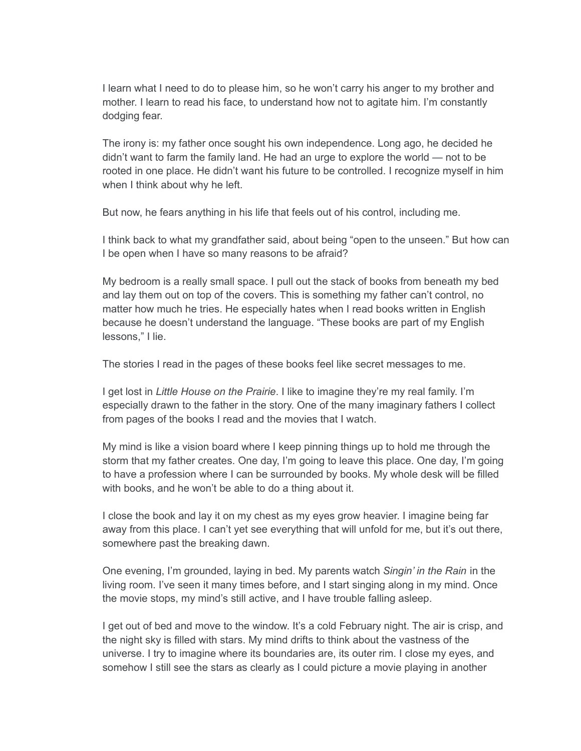I learn what I need to do to please him, so he won't carry his anger to my brother and mother. I learn to read his face, to understand how not to agitate him. I'm constantly dodging fear.

The irony is: my father once sought his own independence. Long ago, he decided he didn't want to farm the family land. He had an urge to explore the world — not to be rooted in one place. He didn't want his future to be controlled. I recognize myself in him when I think about why he left.

But now, he fears anything in his life that feels out of his control, including me.

I think back to what my grandfather said, about being "open to the unseen." But how can I be open when I have so many reasons to be afraid?

My bedroom is a really small space. I pull out the stack of books from beneath my bed and lay them out on top of the covers. This is something my father can't control, no matter how much he tries. He especially hates when I read books written in English because he doesn't understand the language. "These books are part of my English lessons," I lie.

The stories I read in the pages of these books feel like secret messages to me.

I get lost in *Little House on the Prairie*. I like to imagine they're my real family. I'm especially drawn to the father in the story. One of the many imaginary fathers I collect from pages of the books I read and the movies that I watch.

My mind is like a vision board where I keep pinning things up to hold me through the storm that my father creates. One day, I'm going to leave this place. One day, I'm going to have a profession where I can be surrounded by books. My whole desk will be filled with books, and he won't be able to do a thing about it.

I close the book and lay it on my chest as my eyes grow heavier. I imagine being far away from this place. I can't yet see everything that will unfold for me, but it's out there, somewhere past the breaking dawn.

One evening, I'm grounded, laying in bed. My parents watch *Singin' in the Rain* in the living room. I've seen it many times before, and I start singing along in my mind. Once the movie stops, my mind's still active, and I have trouble falling asleep.

I get out of bed and move to the window. It's a cold February night. The air is crisp, and the night sky is filled with stars. My mind drifts to think about the vastness of the universe. I try to imagine where its boundaries are, its outer rim. I close my eyes, and somehow I still see the stars as clearly as I could picture a movie playing in another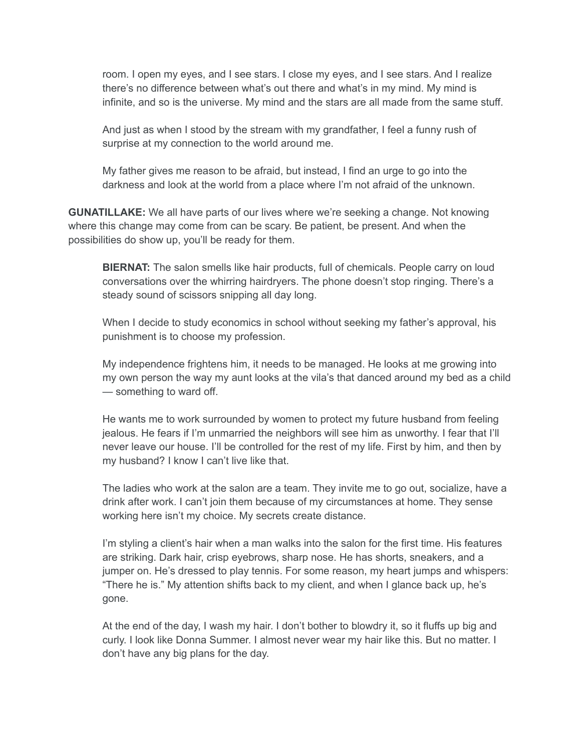room. I open my eyes, and I see stars. I close my eyes, and I see stars. And I realize there's no difference between what's out there and what's in my mind. My mind is infinite, and so is the universe. My mind and the stars are all made from the same stuff.

And just as when I stood by the stream with my grandfather, I feel a funny rush of surprise at my connection to the world around me.

My father gives me reason to be afraid, but instead, I find an urge to go into the darkness and look at the world from a place where I'm not afraid of the unknown.

**GUNATILLAKE:** We all have parts of our lives where we're seeking a change. Not knowing where this change may come from can be scary. Be patient, be present. And when the possibilities do show up, you'll be ready for them.

**BIERNAT:** The salon smells like hair products, full of chemicals. People carry on loud conversations over the whirring hairdryers. The phone doesn't stop ringing. There's a steady sound of scissors snipping all day long.

When I decide to study economics in school without seeking my father's approval, his punishment is to choose my profession.

My independence frightens him, it needs to be managed. He looks at me growing into my own person the way my aunt looks at the vila's that danced around my bed as a child — something to ward off.

He wants me to work surrounded by women to protect my future husband from feeling jealous. He fears if I'm unmarried the neighbors will see him as unworthy. I fear that I'll never leave our house. I'll be controlled for the rest of my life. First by him, and then by my husband? I know I can't live like that.

The ladies who work at the salon are a team. They invite me to go out, socialize, have a drink after work. I can't join them because of my circumstances at home. They sense working here isn't my choice. My secrets create distance.

I'm styling a client's hair when a man walks into the salon for the first time. His features are striking. Dark hair, crisp eyebrows, sharp nose. He has shorts, sneakers, and a jumper on. He's dressed to play tennis. For some reason, my heart jumps and whispers: "There he is." My attention shifts back to my client, and when I glance back up, he's gone.

At the end of the day, I wash my hair. I don't bother to blowdry it, so it fluffs up big and curly. I look like Donna Summer. I almost never wear my hair like this. But no matter. I don't have any big plans for the day.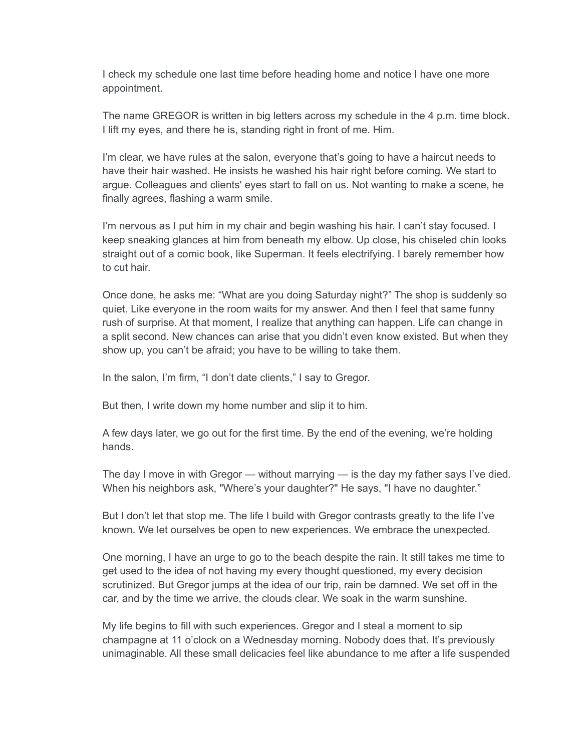I check my schedule one last time before heading home and notice I have one more appointment.

The name GREGOR is written in big letters across my schedule in the 4 p.m. time block. I lift my eyes, and there he is, standing right in front of me. Him.

I'm clear, we have rules at the salon, everyone that's going to have a haircut needs to have their hair washed. He insists he washed his hair right before coming. We start to argue. Colleagues and clients' eyes start to fall on us. Not wanting to make a scene, he finally agrees, flashing a warm smile.

I'm nervous as I put him in my chair and begin washing his hair. I can't stay focused. I keep sneaking glances at him from beneath my elbow. Up close, his chiseled chin looks straight out of a comic book, like Superman. It feels electrifying. I barely remember how to cut hair.

Once done, he asks me: "What are you doing Saturday night?" The shop is suddenly so quiet. Like everyone in the room waits for my answer. And then I feel that same funny rush of surprise. At that moment, I realize that anything can happen. Life can change in a split second. New chances can arise that you didn't even know existed. But when they show up, you can't be afraid; you have to be willing to take them.

In the salon, I'm firm, "I don't date clients," I say to Gregor.

But then, I write down my home number and slip it to him.

A few days later, we go out for the first time. By the end of the evening, we're holding hands.

The day I move in with Gregor — without marrying — is the day my father says I've died. When his neighbors ask, "Where's your daughter?" He says, "I have no daughter."

But I don't let that stop me. The life I build with Gregor contrasts greatly to the life I've known. We let ourselves be open to new experiences. We embrace the unexpected.

One morning, I have an urge to go to the beach despite the rain. It still takes me time to get used to the idea of not having my every thought questioned, my every decision scrutinized. But Gregor jumps at the idea of our trip, rain be damned. We set off in the car, and by the time we arrive, the clouds clear. We soak in the warm sunshine.

My life begins to fill with such experiences. Gregor and I steal a moment to sip champagne at 11 o'clock on a Wednesday morning. Nobody does that. It's previously unimaginable. All these small delicacies feel like abundance to me after a life suspended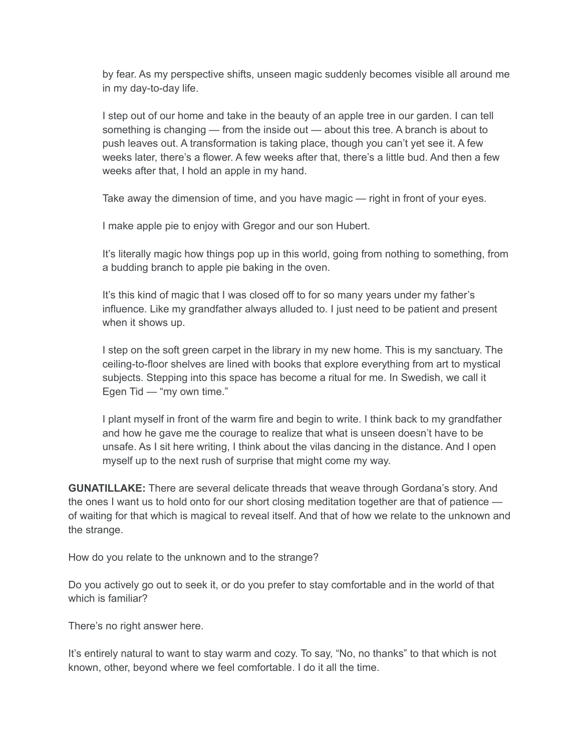by fear. As my perspective shifts, unseen magic suddenly becomes visible all around me in my day-to-day life.

I step out of our home and take in the beauty of an apple tree in our garden. I can tell something is changing — from the inside out — about this tree. A branch is about to push leaves out. A transformation is taking place, though you can't yet see it. A few weeks later, there's a flower. A few weeks after that, there's a little bud. And then a few weeks after that, I hold an apple in my hand.

Take away the dimension of time, and you have magic — right in front of your eyes.

I make apple pie to enjoy with Gregor and our son Hubert.

It's literally magic how things pop up in this world, going from nothing to something, from a budding branch to apple pie baking in the oven.

It's this kind of magic that I was closed off to for so many years under my father's influence. Like my grandfather always alluded to. I just need to be patient and present when it shows up.

I step on the soft green carpet in the library in my new home. This is my sanctuary. The ceiling-to-floor shelves are lined with books that explore everything from art to mystical subjects. Stepping into this space has become a ritual for me. In Swedish, we call it Egen Tid — "my own time."

I plant myself in front of the warm fire and begin to write. I think back to my grandfather and how he gave me the courage to realize that what is unseen doesn't have to be unsafe. As I sit here writing, I think about the vilas dancing in the distance. And I open myself up to the next rush of surprise that might come my way.

**GUNATILLAKE:** There are several delicate threads that weave through Gordana's story. And the ones I want us to hold onto for our short closing meditation together are that of patience of waiting for that which is magical to reveal itself. And that of how we relate to the unknown and the strange.

How do you relate to the unknown and to the strange?

Do you actively go out to seek it, or do you prefer to stay comfortable and in the world of that which is familiar?

There's no right answer here.

It's entirely natural to want to stay warm and cozy. To say, "No, no thanks" to that which is not known, other, beyond where we feel comfortable. I do it all the time.